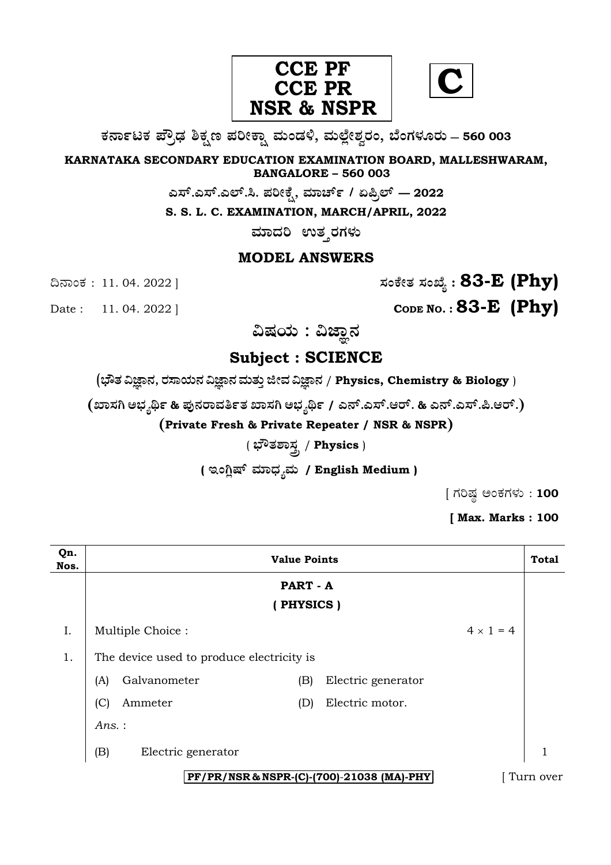

**C**

**O⁄´¤%lO⁄ ÆË√v⁄ ÃO⁄–y Æ⁄¬fiO¤– »⁄flMs⁄ÿ, »⁄fl≈Ê«fiÀ⁄ ¡⁄M, ∑ÊMV⁄◊⁄‡¡⁄fl — 560 003** 

**KARNATAKA SECONDARY EDUCATION EXAMINATION BOARD, MALLESHWARAM, BANGALORE – 560 003** 

**G—È.G—È.G≈È.". Æ⁄¬fiOÊ⁄–, »⁄·¤^È% / HØ√≈È — 2022**

**S. S. L. C. EXAMINATION, MARCH/APRIL, 2022** 

ಮಾದರಿ ಉತ**್ತರಗ**ಳು

## **MODEL ANSWERS**

¶´¤MO⁄ : 11. 04. 2022 ] **—⁄MOÊfi}⁄ —⁄MSÊ¿ : 83-E (Phy)**

Date : 11. 04. 2022 ] **CODE NO. : 83-E** (Phy)

ವಿಷಯ : ವಿಜ್ಞಾನ

# **Subject : SCIENCE**

(**»èñÜ ËþÝ®Ü, ÃÜÓÝ¿á®Ü ËþÝ®Ü ÊÜáñÜᤠiàÊÜ ËþÝ®Ü** / **Physics, Chemistry & Biology** )

**(S¤—⁄W @∫⁄¥¿£% & Æ⁄'¥´⁄¡¤»⁄~%}⁄S¤—⁄W @∫⁄¥¿£% / G´È.G—È.A¡È. & G´È.G—È.Ø.A¡È.)** 

**(Private Fresh & Private Repeater / NSR & NSPR)**

## ( **∫Ë}⁄À¤—⁄°** / **Physics** )

( ಇಂಗ್ಲಿಷ್ ಮಾಧ್ಯಮ / English Medium )

 $[$  ಗರಿಷ್ಠ ಅಂಕಗಳು : 100

**[ Max. Marks : 100** 

| Qn.<br>Nos.                               | <b>Value Points</b>                       |     |                    | <b>Total</b>     |   |
|-------------------------------------------|-------------------------------------------|-----|--------------------|------------------|---|
|                                           | PART - A                                  |     |                    |                  |   |
|                                           | PHYSICS)                                  |     |                    |                  |   |
| I.                                        | Multiple Choice:                          |     |                    | $4 \times 1 = 4$ |   |
| 1.                                        | The device used to produce electricity is |     |                    |                  |   |
|                                           | Galvanometer<br>(A)                       | (B) | Electric generator |                  |   |
|                                           | (C)<br>Ammeter                            | (D) | Electric motor.    |                  |   |
|                                           | Ans.:                                     |     |                    |                  |   |
|                                           | (B)<br>Electric generator                 |     |                    |                  | 1 |
| PF/PR/NSR & NSPR-(C)-(700)-21038 (MA)-PHY |                                           |     |                    | Turn over        |   |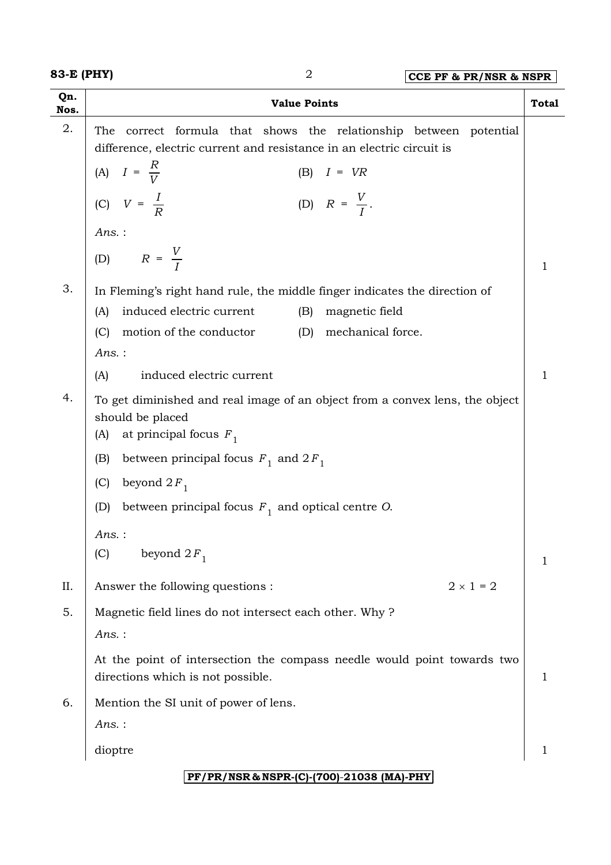| Qn.<br>Nos.                               | <b>Value Points</b>                                                                                                                           | <b>Total</b> |  |  |
|-------------------------------------------|-----------------------------------------------------------------------------------------------------------------------------------------------|--------------|--|--|
| 2.                                        | correct formula that shows the relationship between potential<br>The<br>difference, electric current and resistance in an electric circuit is |              |  |  |
|                                           | (A) $I = \frac{R}{V}$<br>$(B)$ $I = VR$                                                                                                       |              |  |  |
|                                           | (D) $R = \frac{V}{I}$ .<br>(C) $V = \frac{I}{R}$                                                                                              |              |  |  |
|                                           | Ans.:                                                                                                                                         |              |  |  |
|                                           | (D) $R = \frac{V}{I}$                                                                                                                         | 1            |  |  |
| 3.                                        | In Fleming's right hand rule, the middle finger indicates the direction of<br>induced electric current<br>magnetic field<br>(B)<br>(A)        |              |  |  |
|                                           | motion of the conductor<br>mechanical force.<br>(C)<br>(D)                                                                                    |              |  |  |
|                                           | Ans.:                                                                                                                                         |              |  |  |
|                                           | induced electric current<br>(A)                                                                                                               | 1            |  |  |
| 4.                                        | To get diminished and real image of an object from a convex lens, the object<br>should be placed<br>at principal focus $F_1$<br>(A)           |              |  |  |
|                                           | between principal focus $F_1$ and $2F_1$<br>(B)                                                                                               |              |  |  |
|                                           | (C)<br>beyond $2F_1$                                                                                                                          |              |  |  |
|                                           | (D)<br>between principal focus $F_1$ and optical centre O.                                                                                    |              |  |  |
|                                           | Ans.:                                                                                                                                         |              |  |  |
|                                           | beyond $2F_1$<br>(C)                                                                                                                          | 1            |  |  |
| II.                                       | $2 \times 1 = 2$<br>Answer the following questions :                                                                                          |              |  |  |
| 5.                                        | Magnetic field lines do not intersect each other. Why?                                                                                        |              |  |  |
|                                           | $Ans.$ :                                                                                                                                      |              |  |  |
|                                           | At the point of intersection the compass needle would point towards two<br>directions which is not possible.                                  | I.           |  |  |
| 6.                                        | Mention the SI unit of power of lens.                                                                                                         |              |  |  |
|                                           | $Ans.$ :                                                                                                                                      |              |  |  |
|                                           | dioptre                                                                                                                                       | 1            |  |  |
| PF/PR/NSR & NSPR-(C)-(700)-21038 (MA)-PHY |                                                                                                                                               |              |  |  |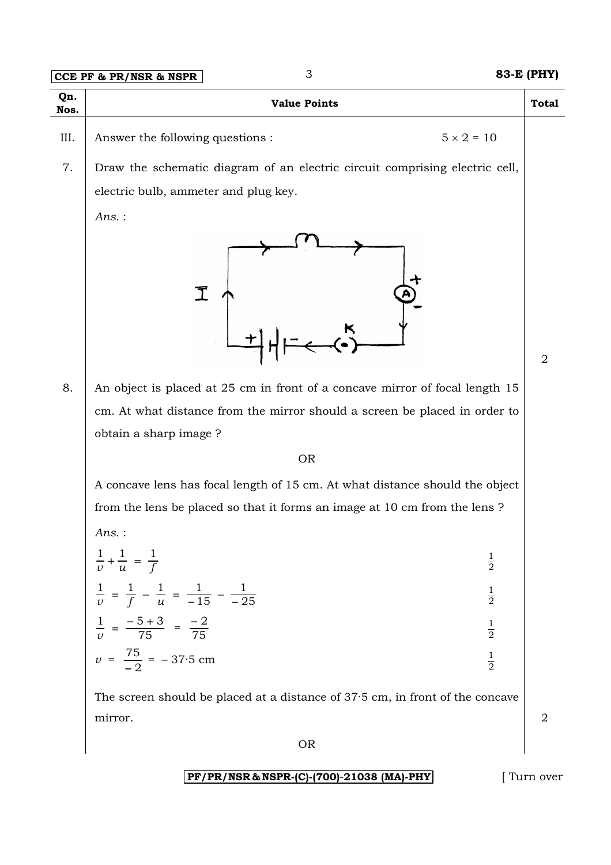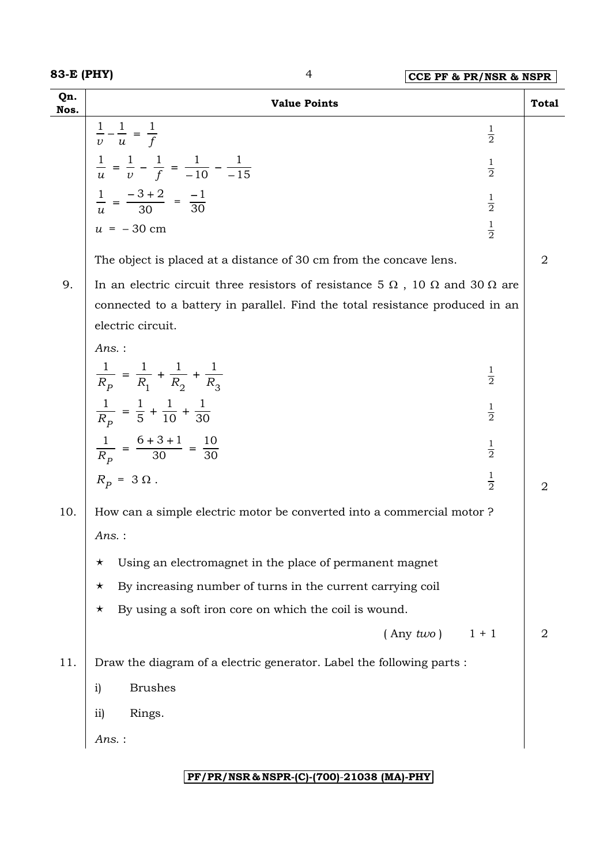| Qn.<br>Nos. | <b>Value Points</b>                                                                               | <b>Total</b> |  |
|-------------|---------------------------------------------------------------------------------------------------|--------------|--|
|             | $\frac{1}{v} - \frac{1}{u} = \frac{1}{f}$<br>$\frac{1}{2}$                                        |              |  |
|             | $\frac{1}{u} = \frac{1}{v} - \frac{1}{f} = \frac{1}{-10} - \frac{1}{-15}$<br>$\frac{1}{2}$        |              |  |
|             |                                                                                                   |              |  |
|             | $\frac{1}{u} = \frac{-3+2}{30} = \frac{-1}{30}$<br>$\frac{1}{2}$                                  |              |  |
|             | $\frac{1}{2}$<br>$u = -30$ cm                                                                     |              |  |
|             | The object is placed at a distance of 30 cm from the concave lens.                                | 2            |  |
| 9.          | In an electric circuit three resistors of resistance 5 $\Omega$ , 10 $\Omega$ and 30 $\Omega$ are |              |  |
|             | connected to a battery in parallel. Find the total resistance produced in an                      |              |  |
|             | electric circuit.                                                                                 |              |  |
|             | $Ans.$ :                                                                                          |              |  |
|             | $\frac{1}{R_p} = \frac{1}{R_1} + \frac{1}{R_2} + \frac{1}{R_3}$<br>$\frac{1}{2}$                  |              |  |
|             | $\frac{1}{R_p} = \frac{1}{5} + \frac{1}{10} + \frac{1}{30}$<br>$\frac{1}{2}$                      |              |  |
|             | $\frac{1}{R_p} = \frac{6+3+1}{30} = \frac{10}{30}$<br>$\frac{1}{2}$                               |              |  |
|             | $\frac{1}{2}$<br>$R_p = 3 \Omega$ .                                                               | 2            |  |
| 10.         | How can a simple electric motor be converted into a commercial motor?                             |              |  |
|             | Ans. :                                                                                            |              |  |
|             | Using an electromagnet in the place of permanent magnet<br>$\star$                                |              |  |
|             | By increasing number of turns in the current carrying coil<br>$\star$                             |              |  |
|             | By using a soft iron core on which the coil is wound.<br>$\star$                                  |              |  |
|             | $($ Any $two)$<br>$1 + 1$                                                                         | 2            |  |
| 11.         | Draw the diagram of a electric generator. Label the following parts :                             |              |  |
|             | <b>Brushes</b><br>$\mathbf{i}$                                                                    |              |  |
|             | Rings.<br>$\overline{ii}$                                                                         |              |  |
|             | Ans. :                                                                                            |              |  |

### **PF/PR/NSR & NSPR-(C)-(700)**-**21038 (MA)-PHY**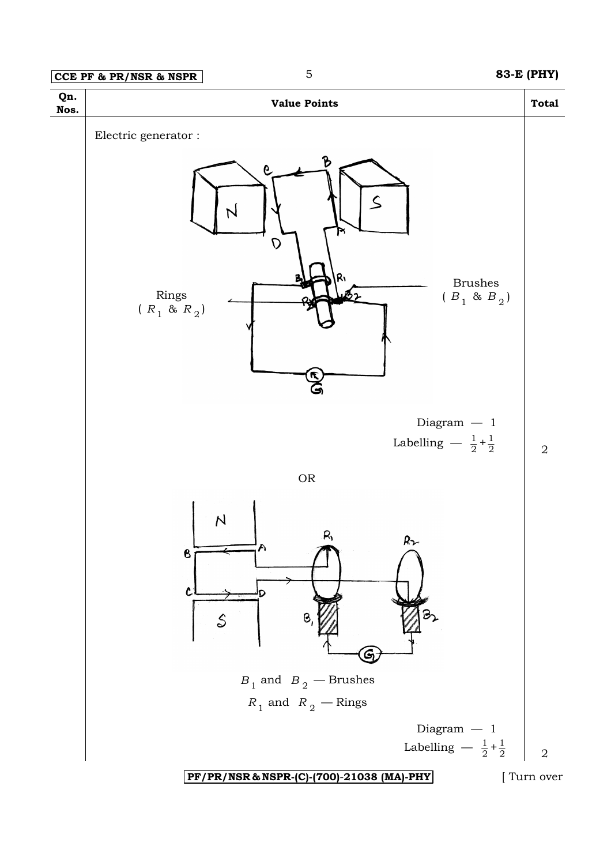### **CCE PF & PR/NSR & NSPR** 5 **83-E (PHY)**



**PF/PR/NSR & NSPR-(C)-(700)**-**21038 (MA)-PHY** [ Turn over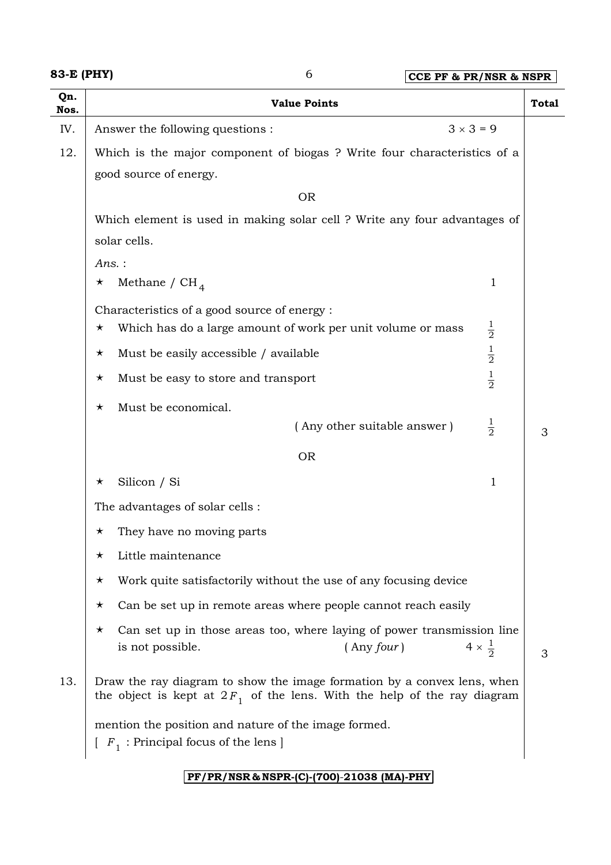| 83-E (PHY) |  |
|------------|--|
|------------|--|

| Qn.<br>Nos. | <b>Value Points</b>                                                                                                                                   |                        | <b>Total</b> |  |
|-------------|-------------------------------------------------------------------------------------------------------------------------------------------------------|------------------------|--------------|--|
| IV.         | $3 \times 3 = 9$<br>Answer the following questions :                                                                                                  |                        |              |  |
| 12.         | Which is the major component of biogas? Write four characteristics of a                                                                               |                        |              |  |
|             | good source of energy.                                                                                                                                |                        |              |  |
|             | <b>OR</b>                                                                                                                                             |                        |              |  |
|             | Which element is used in making solar cell ? Write any four advantages of                                                                             |                        |              |  |
|             | solar cells.                                                                                                                                          |                        |              |  |
|             | Ans.:                                                                                                                                                 |                        |              |  |
|             | Methane / $CH4$<br>$\star$                                                                                                                            | 1                      |              |  |
|             | Characteristics of a good source of energy:                                                                                                           |                        |              |  |
|             | Which has do a large amount of work per unit volume or mass<br>$\star$                                                                                | $\frac{1}{2}$          |              |  |
|             | Must be easily accessible / available<br>$\star$                                                                                                      | $\frac{1}{2}$          |              |  |
|             | Must be easy to store and transport<br>$\star$                                                                                                        | $\frac{1}{2}$          |              |  |
|             | Must be economical.<br>$\star$                                                                                                                        |                        |              |  |
|             | (Any other suitable answer)                                                                                                                           | $\frac{1}{2}$          | 3            |  |
|             | <b>OR</b>                                                                                                                                             |                        |              |  |
|             | Silicon / Si<br>$\star$                                                                                                                               | 1                      |              |  |
|             | The advantages of solar cells :                                                                                                                       |                        |              |  |
|             | They have no moving parts<br>$\star$                                                                                                                  |                        |              |  |
|             | Little maintenance<br>$\star$                                                                                                                         |                        |              |  |
|             | Work quite satisfactorily without the use of any focusing device<br>$\star$                                                                           |                        |              |  |
|             | Can be set up in remote areas where people cannot reach easily<br>$\star$                                                                             |                        |              |  |
|             | Can set up in those areas too, where laying of power transmission line<br>$\star$<br>$($ Any four $)$<br>is not possible.                             | $4 \times \frac{1}{2}$ | 3            |  |
| 13.         | Draw the ray diagram to show the image formation by a convex lens, when<br>the object is kept at $2F_1$ of the lens. With the help of the ray diagram |                        |              |  |
|             | mention the position and nature of the image formed.<br>$[F_1 : Principal focus of the lens]$                                                         |                        |              |  |

**PF/PR/NSR & NSPR-(C)-(700)**-**21038 (MA)-PHY**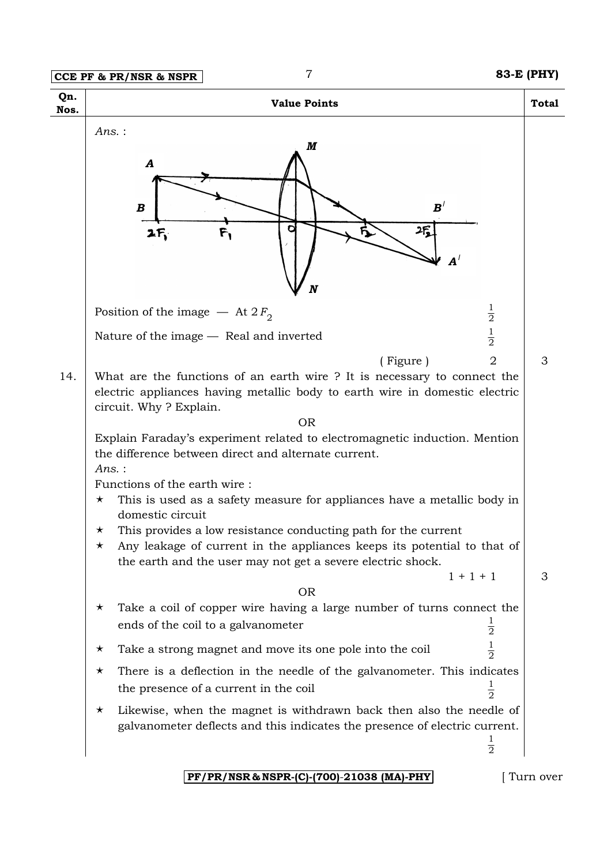